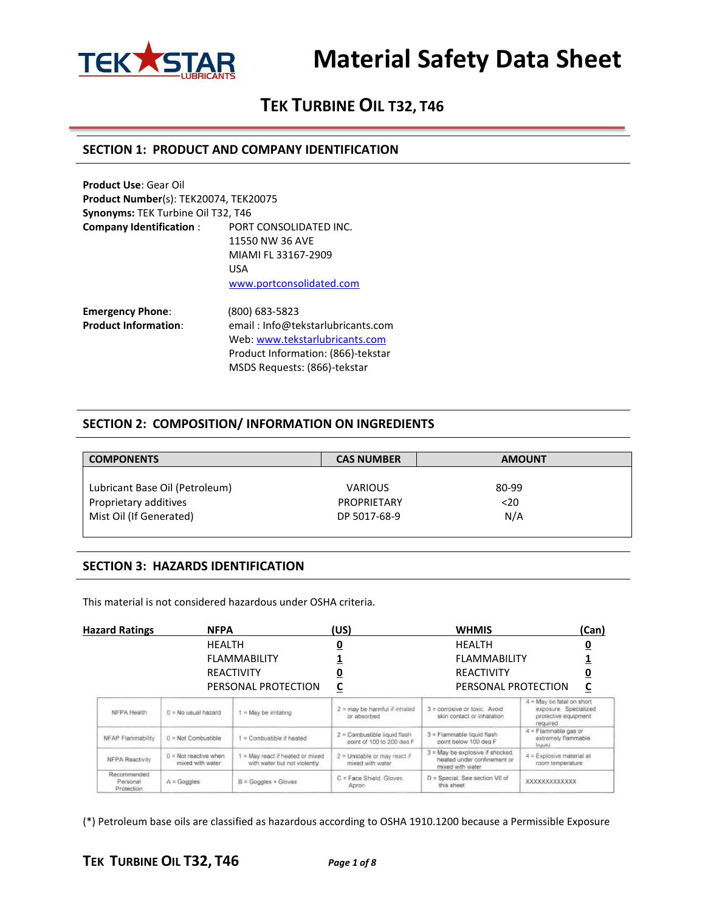

# **TEK TURBINE OIL T32, T46**

#### **SECTION 1: PRODUCT AND COMPANY IDENTIFICATION**

| <b>Product Use: Gear Oil</b>                 |                                        |
|----------------------------------------------|----------------------------------------|
| <b>Product Number(s): TEK20074, TEK20075</b> |                                        |
| Synonyms: TEK Turbine Oil T32, T46           |                                        |
| <b>Company Identification:</b>               | PORT CONSOLIDATED INC.                 |
|                                              | 11550 NW 36 AVE                        |
|                                              | MIAMI FL 33167-2909                    |
|                                              | USA                                    |
|                                              | www.portconsolidated.com               |
| <b>Emergency Phone:</b>                      | (800) 683-5823                         |
| <b>Product Information:</b>                  | email: Info@tekstarlubricants.com<br>. |

Web: [www.tekstarlubricants.com](http://www.tekstarlubricants.com/) Product Information: (866)-tekstar MSDS Requests: (866)-tekstar

#### **SECTION 2: COMPOSITION/ INFORMATION ON INGREDIENTS**

| <b>CAS NUMBER</b>  | <b>AMOUNT</b> |  |
|--------------------|---------------|--|
|                    |               |  |
| <b>VARIOUS</b>     | 80-99         |  |
| <b>PROPRIETARY</b> | $20$          |  |
| DP 5017-68-9       | N/A           |  |
|                    |               |  |

#### **SECTION 3: HAZARDS IDENTIFICATION**

This material is not considered hazardous under OSHA criteria.

| <b>Hazard Ratings</b>                 | <b>NFPA</b>                                               |                                                                  | (US)                                                      | <b>WHMIS</b>                                                                        | (Can)                                                                                  |  |
|---------------------------------------|-----------------------------------------------------------|------------------------------------------------------------------|-----------------------------------------------------------|-------------------------------------------------------------------------------------|----------------------------------------------------------------------------------------|--|
|                                       | <b>HEALTH</b><br><b>FLAMMABILITY</b><br><b>REACTIVITY</b> |                                                                  | <u>0</u>                                                  | <b>HEALTH</b>                                                                       |                                                                                        |  |
|                                       |                                                           |                                                                  |                                                           |                                                                                     | <b>FLAMMABILITY</b>                                                                    |  |
|                                       |                                                           |                                                                  | <u>0</u>                                                  | <b>REACTIVITY</b>                                                                   |                                                                                        |  |
|                                       |                                                           | PERSONAL PROTECTION                                              | <u>c</u>                                                  | PERSONAL PROTECTION                                                                 | С                                                                                      |  |
| NFPA Health                           | $0$ = No usual hazard                                     | $1 = May$ be irritating                                          | $2 =$ may be harmful if inhaled<br>or absorbed            | $3 =$ corrosive or toxic. Avoid<br>skin contact or inhalation                       | 4 = May be fatal on short<br>exposure. Specialized<br>protective equipment<br>required |  |
| NFAP Flammability                     | $0 = Not$ Combustible                                     | $1 =$ Combustible if heated                                      | 2 = Combustible liquid flash<br>point of 100 to 200 deg F | 3 = Flammable liquid flash<br>point below 100 deg F                                 | $4$ = Flammable gas or<br>extremely flammable:<br>liuuiul                              |  |
| NFPA Reactivity                       | $0$ = Not reactive when<br>mixed with water               | 1 = May react if heated or mixed<br>with water but not violently | 2 = Unstable or may react if<br>mixed with water          | 3 = May be explosive if shocked.<br>heated under confinement or<br>mixed with water | $A =$ Explosive material at<br>room temperature.                                       |  |
| Recommended<br>Personal<br>Protection | $A = Goggles$                                             | $B =$ Googles + Gloves                                           | C = Face Shield, Gloves.<br>Apron                         | D = Special, See section VII of<br>this sheet                                       | <b>XXXXXXXXXXXXXX</b>                                                                  |  |

(\*) Petroleum base oils are classified as hazardous according to OSHA 1910.1200 because a Permissible Exposure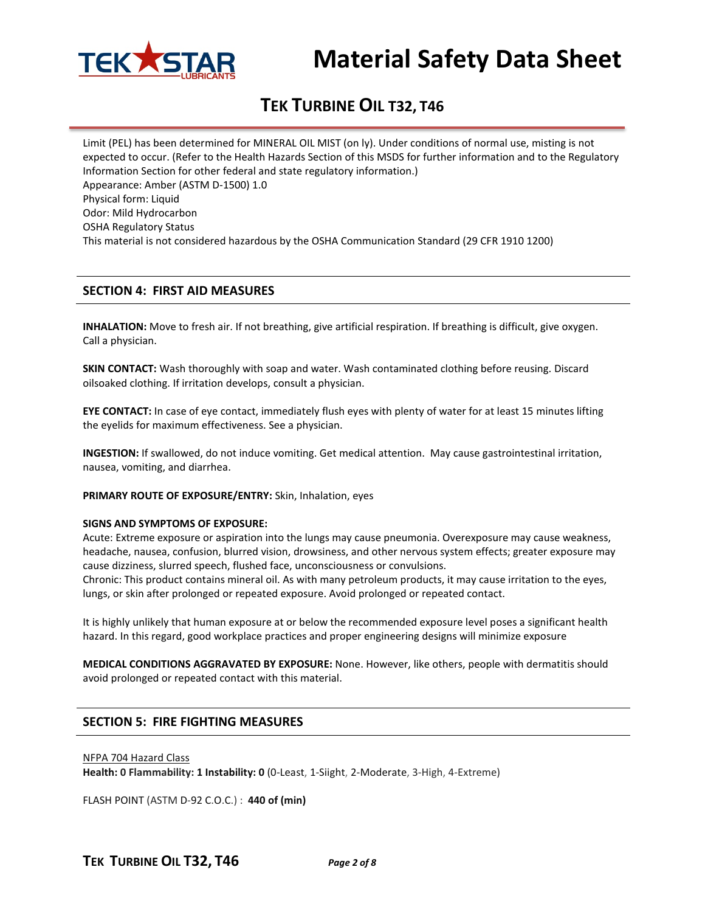

# **TEK TURBINE OIL T32, T46**

Limit (PEL) has been determined for MINERAL OIL MIST (on ly). Under conditions of normal use, misting is not expected to occur. (Refer to the Health Hazards Section of this MSDS for further information and to the Regulatory Information Section for other federal and state regulatory information.) Appearance: Amber (ASTM D-1500) 1.0 Physical form: Liquid Odor: Mild Hydrocarbon OSHA Regulatory Status This material is not considered hazardous by the OSHA Communication Standard (29 CFR 1910 1200)

#### **SECTION 4: FIRST AID MEASURES**

**INHALATION:** Move to fresh air. If not breathing, give artificial respiration. If breathing is difficult, give oxygen. Call a physician.

**SKIN CONTACT:** Wash thoroughly with soap and water. Wash contaminated clothing before reusing. Discard oilsoaked clothing. If irritation develops, consult a physician.

**EYE CONTACT:** In case of eye contact, immediately flush eyes with plenty of water for at least 15 minutes lifting the eyelids for maximum effectiveness. See a physician.

**INGESTION:** If swallowed, do not induce vomiting. Get medical attention. May cause gastrointestinal irritation, nausea, vomiting, and diarrhea.

**PRIMARY ROUTE OF EXPOSURE/ENTRY:** Skin, Inhalation, eyes

#### **SIGNS AND SYMPTOMS OF EXPOSURE:**

Acute: Extreme exposure or aspiration into the lungs may cause pneumonia. Overexposure may cause weakness, headache, nausea, confusion, blurred vision, drowsiness, and other nervous system effects; greater exposure may cause dizziness, slurred speech, flushed face, unconsciousness or convulsions.

Chronic: This product contains mineral oil. As with many petroleum products, it may cause irritation to the eyes, lungs, or skin after prolonged or repeated exposure. Avoid prolonged or repeated contact.

It is highly unlikely that human exposure at or below the recommended exposure level poses a significant health hazard. In this regard, good workplace practices and proper engineering designs will minimize exposure

**MEDICAL CONDITIONS AGGRAVATED BY EXPOSURE:** None. However, like others, people with dermatitis should avoid prolonged or repeated contact with this material.

#### **SECTION 5: FIRE FIGHTING MEASURES**

#### NFPA 704 Hazard Class

**Health: 0 Flammability: 1 Instability: 0** (0-Least, 1-Siight, 2-Moderate, 3-High, 4-Extreme)

FLASH POINT (ASTM D-92 C.O.C.) : **440 of (min)**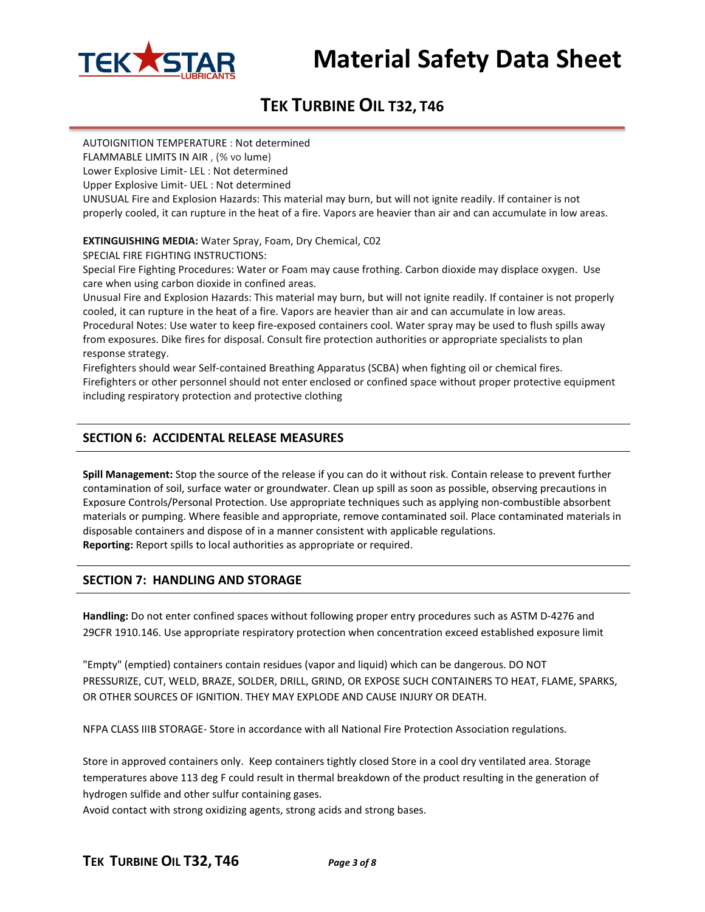

# **TEK TURBINE OIL T32, T46**

AUTOIGNITION TEMPERATURE : Not determined FLAMMABLE LIMITS IN AIR , (% vo lume) Lower Explosive Limit- LEL : Not determined Upper Explosive Limit- UEL : Not determined UNUSUAL Fire and Explosion Hazards: This material may burn, but will not ignite readily. If container is not properly cooled, it can rupture in the heat of a fire. Vapors are heavier than air and can accumulate in low areas.

**EXTINGUISHING MEDIA:** Water Spray, Foam, Dry Chemical, C02

SPECIAL FIRE FIGHTING INSTRUCTIONS:

Special Fire Fighting Procedures: Water or Foam may cause frothing. Carbon dioxide may displace oxygen. Use care when using carbon dioxide in confined areas.

Unusual Fire and Explosion Hazards: This material may burn, but will not ignite readily. If container is not properly cooled, it can rupture in the heat of a fire. Vapors are heavier than air and can accumulate in low areas.

Procedural Notes: Use water to keep fire-exposed containers cool. Water spray may be used to flush spills away from exposures. Dike fires for disposal. Consult fire protection authorities or appropriate specialists to plan response strategy.

Firefighters should wear Self-contained Breathing Apparatus (SCBA) when fighting oil or chemical fires. Firefighters or other personnel should not enter enclosed or confined space without proper protective equipment including respiratory protection and protective clothing

### **SECTION 6: ACCIDENTAL RELEASE MEASURES**

**Spill Management:** Stop the source of the release if you can do it without risk. Contain release to prevent further contamination of soil, surface water or groundwater. Clean up spill as soon as possible, observing precautions in Exposure Controls/Personal Protection. Use appropriate techniques such as applying non-combustible absorbent materials or pumping. Where feasible and appropriate, remove contaminated soil. Place contaminated materials in disposable containers and dispose of in a manner consistent with applicable regulations. **Reporting:** Report spills to local authorities as appropriate or required.

#### **SECTION 7: HANDLING AND STORAGE**

**Handling:** Do not enter confined spaces without following proper entry procedures such as ASTM D-4276 and 29CFR 1910.146. Use appropriate respiratory protection when concentration exceed established exposure limit

"Empty" (emptied) containers contain residues (vapor and liquid) which can be dangerous. DO NOT PRESSURIZE, CUT, WELD, BRAZE, SOLDER, DRILL, GRIND, OR EXPOSE SUCH CONTAINERS TO HEAT, FLAME, SPARKS, OR OTHER SOURCES OF IGNITION. THEY MAY EXPLODE AND CAUSE INJURY OR DEATH.

NFPA CLASS IIIB STORAGE- Store in accordance with all National Fire Protection Association regulations.

Store in approved containers only. Keep containers tightly closed Store in a cool dry ventilated area. Storage temperatures above 113 deg F could result in thermal breakdown of the product resulting in the generation of hydrogen sulfide and other sulfur containing gases.

Avoid contact with strong oxidizing agents, strong acids and strong bases.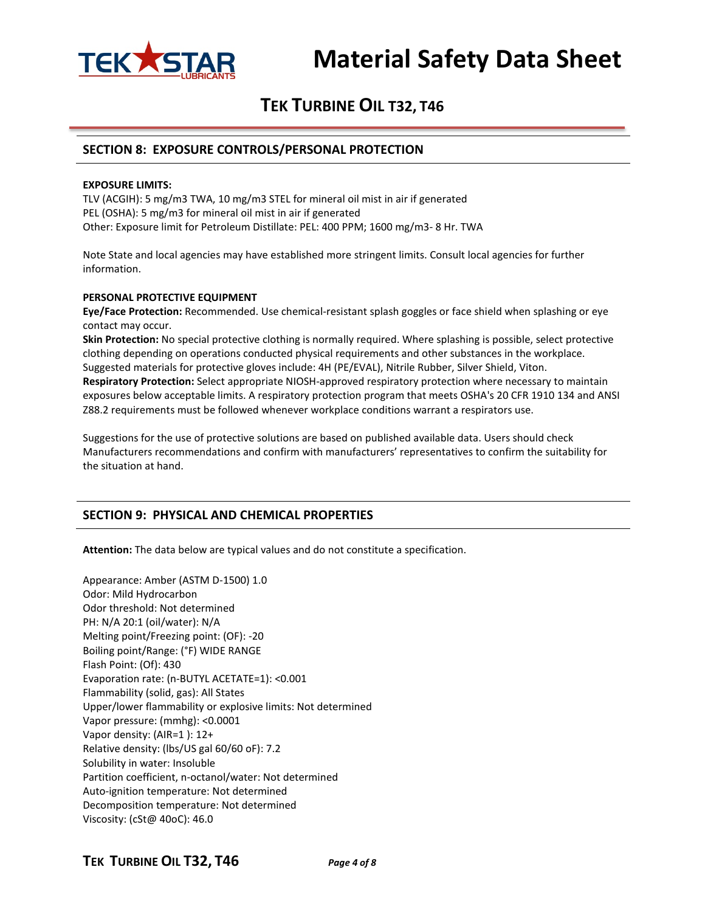

#### **SECTION 8: EXPOSURE CONTROLS/PERSONAL PROTECTION**

#### **EXPOSURE LIMITS:**

TLV (ACGIH): 5 mg/m3 TWA, 10 mg/m3 STEL for mineral oil mist in air if generated PEL (OSHA): 5 mg/m3 for mineral oil mist in air if generated Other: Exposure limit for Petroleum Distillate: PEL: 400 PPM; 1600 mg/m3- 8 Hr. TWA

Note State and local agencies may have established more stringent limits. Consult local agencies for further information.

#### **PERSONAL PROTECTIVE EQUIPMENT**

**Eye/Face Protection:** Recommended. Use chemical-resistant splash goggles or face shield when splashing or eye contact may occur.

**Skin Protection:** No special protective clothing is normally required. Where splashing is possible, select protective clothing depending on operations conducted physical requirements and other substances in the workplace. Suggested materials for protective gloves include: 4H (PE/EVAL), Nitrile Rubber, Silver Shield, Viton. **Respiratory Protection:** Select appropriate NIOSH-approved respiratory protection where necessary to maintain exposures below acceptable limits. A respiratory protection program that meets OSHA's 20 CFR 1910 134 and ANSI Z88.2 requirements must be followed whenever workplace conditions warrant a respirators use.

Suggestions for the use of protective solutions are based on published available data. Users should check Manufacturers recommendations and confirm with manufacturers' representatives to confirm the suitability for the situation at hand.

#### **SECTION 9: PHYSICAL AND CHEMICAL PROPERTIES**

**Attention:** The data below are typical values and do not constitute a specification.

Appearance: Amber (ASTM D-1500) 1.0 Odor: Mild Hydrocarbon Odor threshold: Not determined PH: N/A 20:1 (oil/water): N/A Melting point/Freezing point: (OF): -20 Boiling point/Range: (°F) WIDE RANGE Flash Point: (Of): 430 Evaporation rate: (n-BUTYL ACETATE=1): <0.001 Flammability (solid, gas): All States Upper/lower flammability or explosive limits: Not determined Vapor pressure: (mmhg): <0.0001 Vapor density: (AIR=1 ): 12+ Relative density: (lbs/US gal 60/60 oF): 7.2 Solubility in water: Insoluble Partition coefficient, n-octanol/water: Not determined Auto-ignition temperature: Not determined Decomposition temperature: Not determined Viscosity: (cSt@ 40oC): 46.0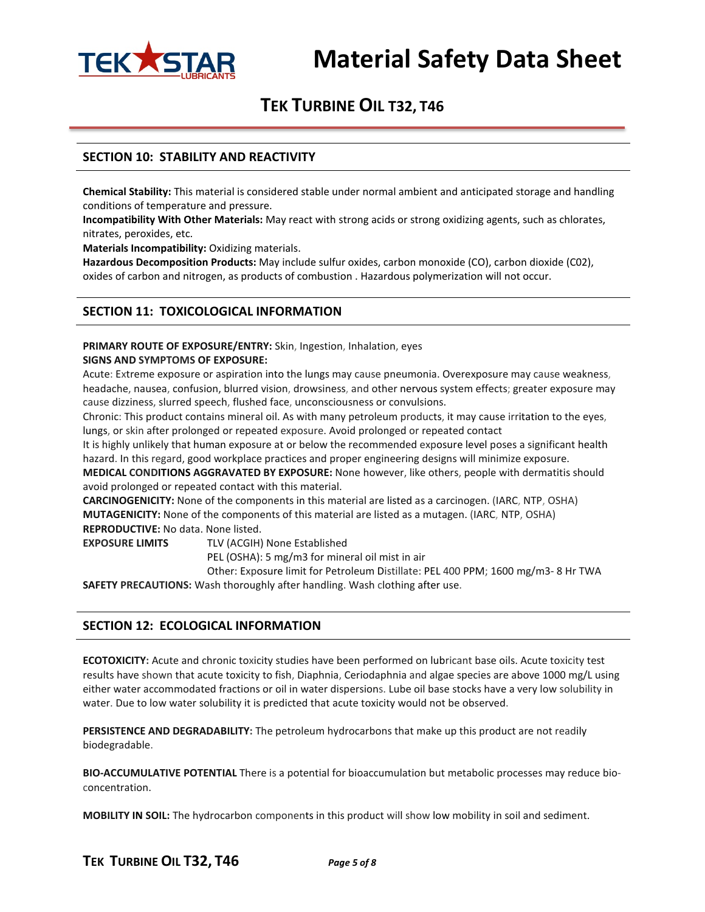

#### **SECTION 10: STABILITY AND REACTIVITY**

**Chemical Stability:** This material is considered stable under normal ambient and anticipated storage and handling conditions of temperature and pressure.

**Incompatibility With Other Materials:** May react with strong acids or strong oxidizing agents, such as chlorates, nitrates, peroxides, etc.

**Materials Incompatibility:** Oxidizing materials.

**Hazardous Decomposition Products:** May include sulfur oxides, carbon monoxide (CO), carbon dioxide (C02), oxides of carbon and nitrogen, as products of combustion . Hazardous polymerization will not occur.

#### **SECTION 11: TOXICOLOGICAL INFORMATION**

**PRIMARY ROUTE OF EXPOSURE/ENTRY:** Skin, Ingestion, Inhalation, eyes **SIGNS AND SYMPTOMS OF EXPOSURE:**

Acute: Extreme exposure or aspiration into the lungs may cause pneumonia. Overexposure may cause weakness, headache, nausea, confusion, blurred vision, drowsiness, and other nervous system effects; greater exposure may cause dizziness, slurred speech, flushed face, unconsciousness or convulsions.

Chronic: This product contains mineral oil. As with many petroleum products, it may cause irritation to the eyes, lungs, or skin after prolonged or repeated exposure. Avoid prolonged or repeated contact

It is highly unlikely that human exposure at or below the recommended exposure level poses a significant health hazard. In this regard, good workplace practices and proper engineering designs will minimize exposure.

**MEDICAL CONDITIONS AGGRAVATED BY EXPOSURE:** None however, like others, people with dermatitis should avoid prolonged or repeated contact with this material.

**CARCINOGENICITY:** None of the components in this material are listed as a carcinogen. (IARC, NTP, OSHA) **MUTAGENICITY:** None of the components of this material are listed as a mutagen. (IARC, NTP, OSHA) **REPRODUCTIVE:** No data. None listed.

**EXPOSURE LIMITS** TLV (ACGIH) None Established

PEL (OSHA): 5 mg/m3 for mineral oil mist in air

Other: Exposure limit for Petroleum Distillate: PEL 400 PPM; 1600 mg/m3- 8 Hr TWA **SAFETY PRECAUTIONS:** Wash thoroughly after handling. Wash clothing after use.

#### **SECTION 12: ECOLOGICAL INFORMATION**

**ECOTOXICITY:** Acute and chronic toxicity studies have been performed on lubricant base oils. Acute toxicity test results have shown that acute toxicity to fish, Diaphnia, Ceriodaphnia and algae species are above 1000 mg/L using either water accommodated fractions or oil in water dispersions. Lube oil base stocks have a very low solubility in water. Due to low water solubility it is predicted that acute toxicity would not be observed.

**PERSISTENCE AND DEGRADABILITY:** The petroleum hydrocarbons that make up this product are not readily biodegradable.

**BIO-ACCUMULATIVE POTENTIAL** There is a potential for bioaccumulation but metabolic processes may reduce bioconcentration.

**MOBILITY IN SOIL:** The hydrocarbon components in this product will show low mobility in soil and sediment.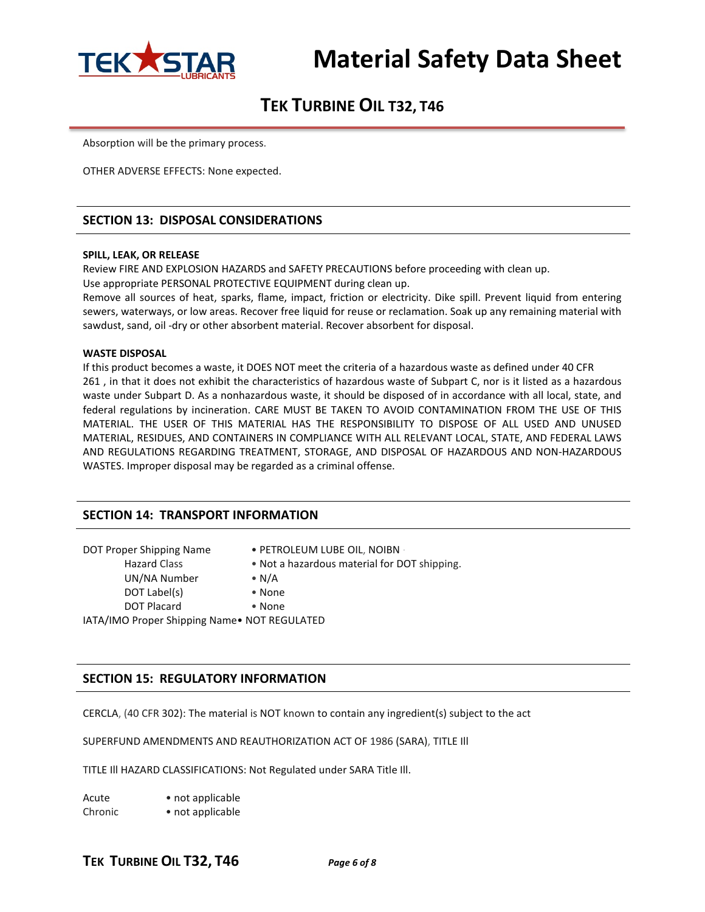

Absorption will be the primary process.

OTHER ADVERSE EFFECTS: None expected.

#### **SECTION 13: DISPOSAL CONSIDERATIONS**

#### **SPILL, LEAK, OR RELEASE**

Review FIRE AND EXPLOSION HAZARDS and SAFETY PRECAUTIONS before proceeding with clean up. Use appropriate PERSONAL PROTECTIVE EQUIPMENT during clean up.

Remove all sources of heat, sparks, flame, impact, friction or electricity. Dike spill. Prevent liquid from entering sewers, waterways, or low areas. Recover free liquid for reuse or reclamation. Soak up any remaining material with sawdust, sand, oil -dry or other absorbent material. Recover absorbent for disposal.

#### **WASTE DISPOSAL**

If this product becomes a waste, it DOES NOT meet the criteria of a hazardous waste as defined under 40 CFR 261 , in that it does not exhibit the characteristics of hazardous waste of Subpart C, nor is it listed as a hazardous waste under Subpart D. As a nonhazardous waste, it should be disposed of in accordance with all local, state, and federal regulations by incineration. CARE MUST BE TAKEN TO AVOID CONTAMINATION FROM THE USE OF THIS MATERIAL. THE USER OF THIS MATERIAL HAS THE RESPONSIBILITY TO DISPOSE OF ALL USED AND UNUSED MATERIAL, RESIDUES, AND CONTAINERS IN COMPLIANCE WITH ALL RELEVANT LOCAL, STATE, AND FEDERAL LAWS AND REGULATIONS REGARDING TREATMENT, STORAGE, AND DISPOSAL OF HAZARDOUS AND NON-HAZARDOUS WASTES. Improper disposal may be regarded as a criminal offense.

#### **SECTION 14: TRANSPORT INFORMATION**

| DOT Proper Shipping Name                      | • PETROLEUM LUBE OIL, NOIBN                  |
|-----------------------------------------------|----------------------------------------------|
| <b>Hazard Class</b>                           | • Not a hazardous material for DOT shipping. |
| UN/NA Number                                  | $\bullet$ N/A                                |
| DOT Label(s)                                  | • None                                       |
| <b>DOT Placard</b>                            | $\bullet$ None                               |
| IATA/IMO Proper Shipping Name · NOT REGULATED |                                              |

#### **SECTION 15: REGULATORY INFORMATION**

CERCLA, (40 CFR 302): The material is NOT known to contain any ingredient(s) subject to the act

SUPERFUND AMENDMENTS AND REAUTHORIZATION ACT OF 1986 (SARA), TITLE Ill

TITLE Ill HAZARD CLASSIFICATIONS: Not Regulated under SARA Title Ill.

| Acute   | • not applicable |
|---------|------------------|
| Chronic | • not applicable |

### **TEK TURBINE OIL T32, T46** *Page 6 of 8*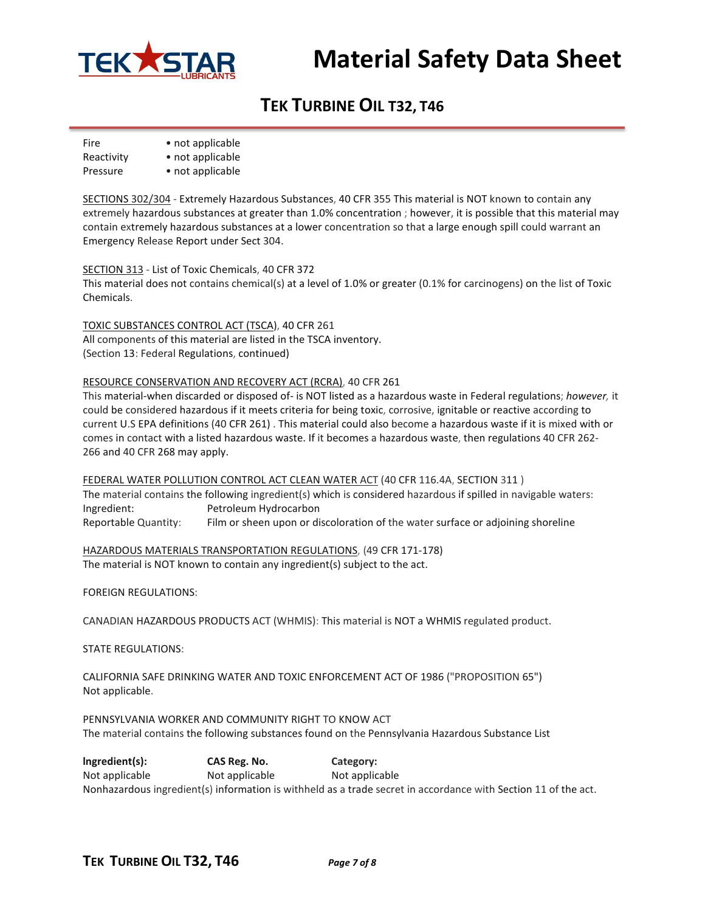

# **TEK TURBINE OIL T32, T46**

Fire • not applicable Reactivity • not applicable

Pressure • not applicable

SECTIONS 302/304 - Extremely Hazardous Substances, 40 CFR 355 This material is NOT known to contain any extremely hazardous substances at greater than 1.0% concentration ; however, it is possible that this material may contain extremely hazardous substances at a lower concentration so that a large enough spill could warrant an Emergency Release Report under Sect 304.

SECTION 313 - List of Toxic Chemicals, 40 CFR 372

This material does not contains chemical(s) at a level of 1.0% or greater (0.1% for carcinogens) on the list of Toxic Chemicals.

TOXIC SUBSTANCES CONTROL ACT (TSCA), 40 CFR 261 All components of this material are listed in the TSCA inventory. (Section 13: Federal Regulations, continued)

#### RESOURCE CONSERVATION AND RECOVERY ACT (RCRA), 40 CFR 261

This material-when discarded or disposed of- is NOT listed as a hazardous waste in Federal regulations; *however,* it could be considered hazardous if it meets criteria for being toxic, corrosive, ignitable or reactive according to current U.S EPA definitions (40 CFR 261) . This material could also become a hazardous waste if it is mixed with or comes in contact with a listed hazardous waste. If it becomes a hazardous waste, then regulations 40 CFR 262- 266 and 40 CFR 268 may apply.

FEDERAL WATER POLLUTION CONTROL ACT CLEAN WATER ACT (40 CFR 116.4A, SECTION 311 ) The material contains the following ingredient(s) which is considered hazardous if spilled in navigable waters: Ingredient: Petroleum Hydrocarbon Reportable Quantity: Film or sheen upon or discoloration of the water surface or adjoining shoreline

HAZARDOUS MATERIALS TRANSPORTATION REGULATIONS, (49 CFR 171-178) The material is NOT known to contain any ingredient(s) subject to the act.

FOREIGN REGULATIONS:

CANADIAN HAZARDOUS PRODUCTS ACT (WHMIS): This material is NOT a WHMIS regulated product.

STATE REGULATIONS:

CALIFORNIA SAFE DRINKING WATER AND TOXIC ENFORCEMENT ACT OF 1986 ("PROPOSITION 65") Not applicable.

PENNSYLVANIA WORKER AND COMMUNITY RIGHT TO KNOW ACT The material contains the following substances found on the Pennsylvania Hazardous Substance List

**lngredient(s): CAS Reg. No. Category:** Not applicable Not applicable Not applicable Nonhazardous ingredient(s) information is withheld as a trade secret in accordance with Section 11 of the act.